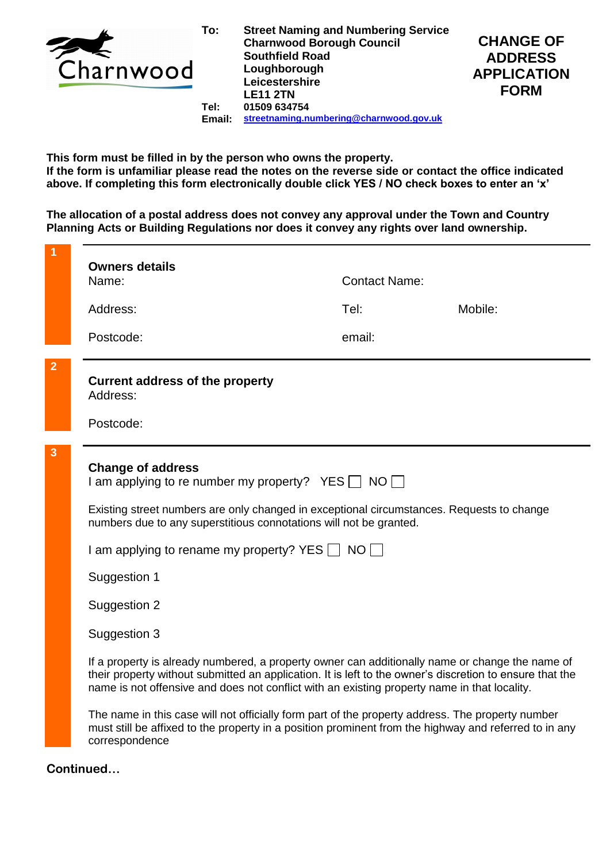

**Tel: Email: Street Naming and Numbering Service Charnwood Borough Council Southfield Road Loughborough Leicestershire LE11 2TN 01509 634754 [streetnaming.numbering@charnwood.gov.uk](mailto:streetnaming.numbering@charnwood.gov.uk)**



**This form must be filled in by the person who owns the property. If the form is unfamiliar please read the notes on the reverse side or contact the office indicated above. If completing this form electronically double click YES / NO check boxes to enter an 'x'**

**The allocation of a postal address does not convey any approval under the Town and Country Planning Acts or Building Regulations nor does it convey any rights over land ownership.**

|                | <b>Owners details</b><br><b>Contact Name:</b><br>Name:                                                                                                                                                                                                                                                      |        |         |
|----------------|-------------------------------------------------------------------------------------------------------------------------------------------------------------------------------------------------------------------------------------------------------------------------------------------------------------|--------|---------|
|                | Address:                                                                                                                                                                                                                                                                                                    | Tel:   | Mobile: |
|                | Postcode:                                                                                                                                                                                                                                                                                                   | email: |         |
| $\overline{2}$ | <b>Current address of the property</b><br>Address:                                                                                                                                                                                                                                                          |        |         |
|                | Postcode:                                                                                                                                                                                                                                                                                                   |        |         |
| 3              | <b>Change of address</b><br>I am applying to re number my property? YES $\Box$ NO $\Box$                                                                                                                                                                                                                    |        |         |
|                | Existing street numbers are only changed in exceptional circumstances. Requests to change<br>numbers due to any superstitious connotations will not be granted.                                                                                                                                             |        |         |
|                | I am applying to rename my property? YES $\Box$ NO $\Box$                                                                                                                                                                                                                                                   |        |         |
|                | Suggestion 1                                                                                                                                                                                                                                                                                                |        |         |
|                | Suggestion 2                                                                                                                                                                                                                                                                                                |        |         |
|                | Suggestion 3                                                                                                                                                                                                                                                                                                |        |         |
|                | If a property is already numbered, a property owner can additionally name or change the name of<br>their property without submitted an application. It is left to the owner's discretion to ensure that the<br>name is not offensive and does not conflict with an existing property name in that locality. |        |         |
|                | The name in this case will not officially form part of the property address. The property number<br>must still be affixed to the property in a position prominent from the highway and referred to in any<br>correspondence                                                                                 |        |         |

**Continued…**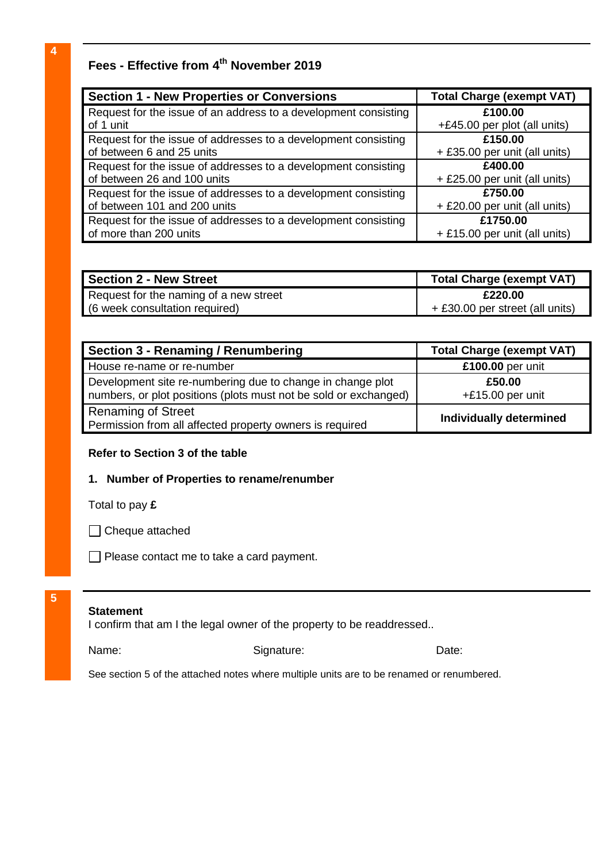# **Fees - Effective from 4 th November 2019**

| <b>Section 1 - New Properties or Conversions</b>                | <b>Total Charge (exempt VAT)</b> |
|-----------------------------------------------------------------|----------------------------------|
| Request for the issue of an address to a development consisting | £100.00                          |
| of 1 unit                                                       | +£45.00 per plot (all units)     |
| Request for the issue of addresses to a development consisting  | £150.00                          |
| of between 6 and 25 units                                       | + £35.00 per unit (all units)    |
| Request for the issue of addresses to a development consisting  | £400.00                          |
| of between 26 and 100 units                                     | + £25.00 per unit (all units)    |
| Request for the issue of addresses to a development consisting  | £750.00                          |
| of between 101 and 200 units                                    | + £20.00 per unit (all units)    |
| Request for the issue of addresses to a development consisting  | £1750.00                         |
| of more than 200 units                                          | + £15.00 per unit (all units)    |

| <b>Section 2 - New Street</b>          | <b>Total Charge (exempt VAT)</b> |
|----------------------------------------|----------------------------------|
| Request for the naming of a new street | £220.00                          |
| (6 week consultation required)         | + £30.00 per street (all units)  |

| Section 3 - Renaming / Renumbering                                                                                             | <b>Total Charge (exempt VAT)</b> |
|--------------------------------------------------------------------------------------------------------------------------------|----------------------------------|
| House re-name or re-number                                                                                                     | £100.00 per unit                 |
| Development site re-numbering due to change in change plot<br>numbers, or plot positions (plots must not be sold or exchanged) | £50.00<br>$+£15.00$ per unit     |
| <b>Renaming of Street</b><br>Permission from all affected property owners is required                                          | <b>Individually determined</b>   |

## **Refer to Section 3 of the table**

### **1. Number of Properties to rename/renumber**

Total to pay **£**



Please contact me to take a card payment.

# **5**

#### **Statement**

I confirm that am I the legal owner of the property to be readdressed..

Name: Signature: Signature: Date:

See section 5 of the attached notes where multiple units are to be renamed or renumbered.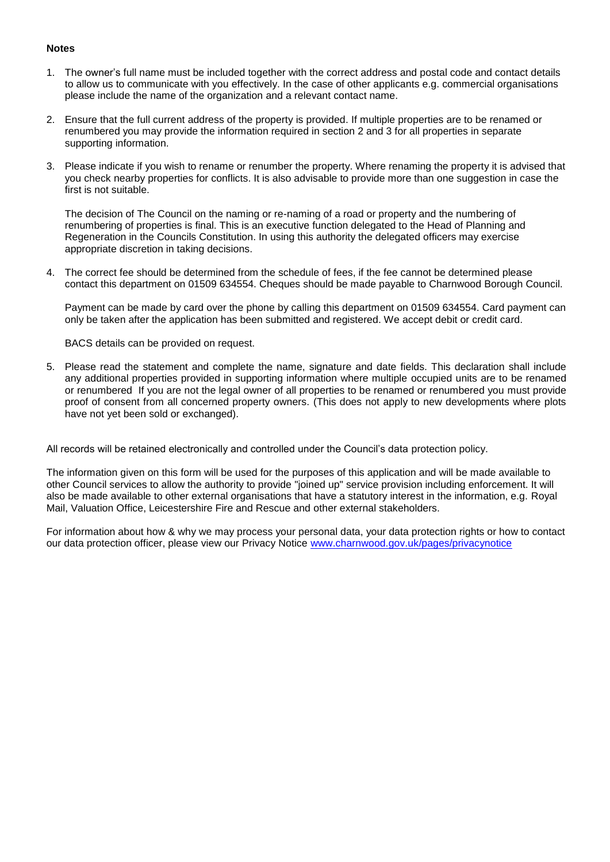#### **Notes**

- 1. The owner's full name must be included together with the correct address and postal code and contact details to allow us to communicate with you effectively. In the case of other applicants e.g. commercial organisations please include the name of the organization and a relevant contact name.
- 2. Ensure that the full current address of the property is provided. If multiple properties are to be renamed or renumbered you may provide the information required in section 2 and 3 for all properties in separate supporting information.
- 3. Please indicate if you wish to rename or renumber the property. Where renaming the property it is advised that you check nearby properties for conflicts. It is also advisable to provide more than one suggestion in case the first is not suitable.

The decision of The Council on the naming or re-naming of a road or property and the numbering of renumbering of properties is final. This is an executive function delegated to the Head of Planning and Regeneration in the Councils Constitution. In using this authority the delegated officers may exercise appropriate discretion in taking decisions.

4. The correct fee should be determined from the schedule of fees, if the fee cannot be determined please contact this department on 01509 634554. Cheques should be made payable to Charnwood Borough Council.

Payment can be made by card over the phone by calling this department on 01509 634554. Card payment can only be taken after the application has been submitted and registered. We accept debit or credit card.

BACS details can be provided on request.

5. Please read the statement and complete the name, signature and date fields. This declaration shall include any additional properties provided in supporting information where multiple occupied units are to be renamed or renumbered If you are not the legal owner of all properties to be renamed or renumbered you must provide proof of consent from all concerned property owners. (This does not apply to new developments where plots have not yet been sold or exchanged).

All records will be retained electronically and controlled under the Council's data protection policy.

The information given on this form will be used for the purposes of this application and will be made available to other Council services to allow the authority to provide "joined up" service provision including enforcement. It will also be made available to other external organisations that have a statutory interest in the information, e.g. Royal Mail, Valuation Office, Leicestershire Fire and Rescue and other external stakeholders.

For information about how & why we may process your personal data, your data protection rights or how to contact our data protection officer, please view our Privacy Notice [www.charnwood.gov.uk/pages/privacynotice](http://www.charnwood.gov.uk/pages/privacynotice)